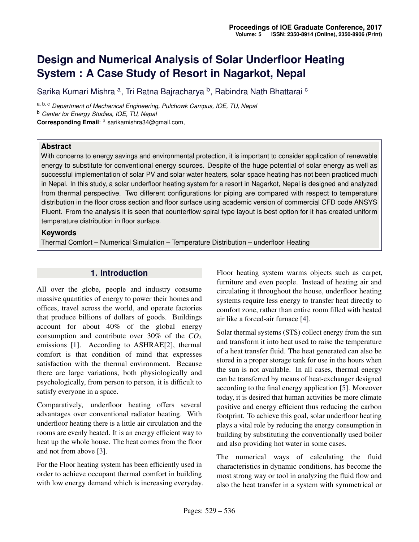# **Design and Numerical Analysis of Solar Underfloor Heating System : A Case Study of Resort in Nagarkot, Nepal**

Sarika Kumari Mishra <sup>a</sup>, Tri Ratna Bajracharya <sup>b</sup>, Rabindra Nath Bhattarai <sup>c</sup>

a, b, c *Department of Mechanical Engineering, Pulchowk Campus, IOE, TU, Nepal* <sup>b</sup> *Center for Energy Studies, IOE, TU, Nepal* **Corresponding Email**: <sup>a</sup> sarikamishra34@gmail.com,

### **Abstract**

With concerns to energy savings and environmental protection, it is important to consider application of renewable energy to substitute for conventional energy sources. Despite of the huge potential of solar energy as well as successful implementation of solar PV and solar water heaters, solar space heating has not been practiced much in Nepal. In this study, a solar underfloor heating system for a resort in Nagarkot, Nepal is designed and analyzed from thermal perspective. Two different configurations for piping are compared with respect to temperature distribution in the floor cross section and floor surface using academic version of commercial CFD code ANSYS Fluent. From the analysis it is seen that counterflow spiral type layout is best option for it has created uniform temperature distribution in floor surface.

### **Keywords**

Thermal Comfort – Numerical Simulation – Temperature Distribution – underfloor Heating

### **1. Introduction**

All over the globe, people and industry consume massive quantities of energy to power their homes and offices, travel across the world, and operate factories that produce billions of dollars of goods. Buildings account for about 40% of the global energy consumption and contribute over  $30\%$  of the  $CO<sub>2</sub>$ emissions [\[1\]](#page-7-0). According to ASHRAE[\[2\]](#page-7-1), thermal comfort is that condition of mind that expresses satisfaction with the thermal environment. Because there are large variations, both physiologically and psychologically, from person to person, it is difficult to satisfy everyone in a space.

Comparatively, underfloor heating offers several advantages over conventional radiator heating. With underfloor heating there is a little air circulation and the rooms are evenly heated. It is an energy efficient way to heat up the whole house. The heat comes from the floor and not from above [\[3\]](#page-7-2).

For the Floor heating system has been efficiently used in order to achieve occupant thermal comfort in building with low energy demand which is increasing everyday. Floor heating system warms objects such as carpet, furniture and even people. Instead of heating air and circulating it throughout the house, underfloor heating systems require less energy to transfer heat directly to comfort zone, rather than entire room filled with heated air like a forced-air furnace [\[4\]](#page-7-3).

Solar thermal systems (STS) collect energy from the sun and transform it into heat used to raise the temperature of a heat transfer fluid. The heat generated can also be stored in a proper storage tank for use in the hours when the sun is not available. In all cases, thermal energy can be transferred by means of heat-exchanger designed according to the final energy application [\[5\]](#page-7-4). Moreover today, it is desired that human activities be more climate positive and energy efficient thus reducing the carbon footprint. To achieve this goal, solar underfloor heating plays a vital role by reducing the energy consumption in building by substituting the conventionally used boiler and also providing hot water in some cases.

The numerical ways of calculating the fluid characteristics in dynamic conditions, has become the most strong way or tool in analyzing the fluid flow and also the heat transfer in a system with symmetrical or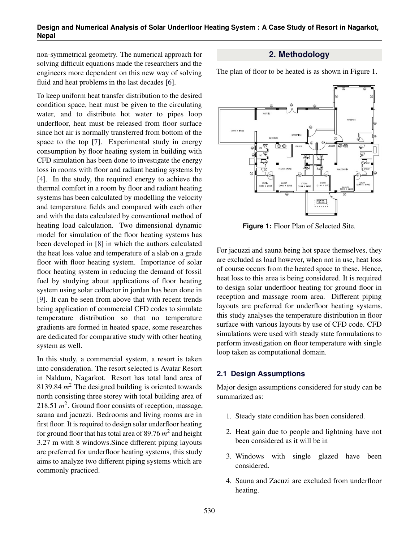non-symmetrical geometry. The numerical approach for solving difficult equations made the researchers and the engineers more dependent on this new way of solving fluid and heat problems in the last decades [\[6\]](#page-7-5).

To keep uniform heat transfer distribution to the desired condition space, heat must be given to the circulating water, and to distribute hot water to pipes loop underfloor, heat must be released from floor surface since hot air is normally transferred from bottom of the space to the top [\[7\]](#page-7-6). Experimental study in energy consumption by floor heating system in building with CFD simulation has been done to investigate the energy loss in rooms with floor and radiant heating systems by [\[4\]](#page-7-3). In the study, the required energy to achieve the thermal comfort in a room by floor and radiant heating systems has been calculated by modelling the velocity and temperature fields and compared with each other and with the data calculated by conventional method of heating load calculation. Two dimensional dynamic model for simulation of the floor heating systems has been developed in [\[8\]](#page-7-7) in which the authors calculated the heat loss value and temperature of a slab on a grade floor with floor heating system. Importance of solar floor heating system in reducing the demand of fossil fuel by studying about applications of floor heating system using solar collector in jordan has been done in [\[9\]](#page-7-8). It can be seen from above that with recent trends being application of commercial CFD codes to simulate temperature distribution so that no temperature gradients are formed in heated space, some researches are dedicated for comparative study with other heating system as well.

In this study, a commercial system, a resort is taken into consideration. The resort selected is Avatar Resort in Naldum, Nagarkot. Resort has total land area of 8139.84  $m^2$  The designed building is oriented towards north consisting three storey with total building area of 218.51  $m^2$ . Ground floor consists of reception, massage, sauna and jacuzzi. Bedrooms and living rooms are in first floor. It is required to design solar underfloor heating for ground floor that has total area of 89.76 *m* 2 and height 3.27 m with 8 windows.Since different piping layouts are preferred for underfloor heating systems, this study aims to analyze two different piping systems which are commonly practiced.

# **2. Methodology**

The plan of floor to be heated is as shown in Figure 1.



**Figure 1:** Floor Plan of Selected Site.

For jacuzzi and sauna being hot space themselves, they are excluded as load however, when not in use, heat loss of course occurs from the heated space to these. Hence, heat loss to this area is being considered. It is required to design solar underfloor heating for ground floor in reception and massage room area. Different piping layouts are preferred for underfloor heating systems, this study analyses the temperature distribution in floor surface with various layouts by use of CFD code. CFD simulations were used with steady state formulations to perform investigation on floor temperature with single loop taken as computational domain.

# **2.1 Design Assumptions**

Major design assumptions considered for study can be summarized as:

- 1. Steady state condition has been considered.
- 2. Heat gain due to people and lightning have not been considered as it will be in
- 3. Windows with single glazed have been considered.
- 4. Sauna and Zacuzi are excluded from underfloor heating.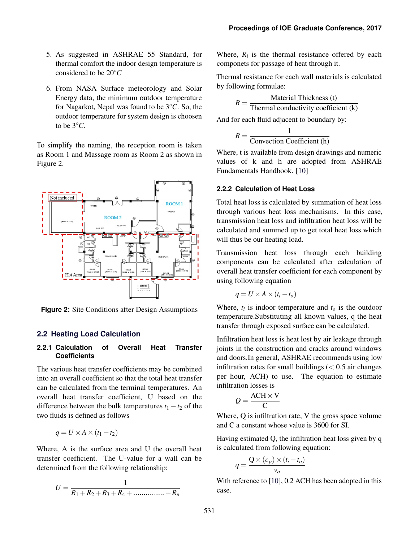- 5. As suggested in ASHRAE 55 Standard, for thermal comfort the indoor design temperature is considered to be 20◦*C*
- 6. From NASA Surface meteorology and Solar Energy data, the minimum outdoor temperature for Nagarkot, Nepal was found to be 3 ◦*C*. So, the outdoor temperature for system design is choosen to be  $3^\circ C$ .

To simplify the naming, the reception room is taken as Room 1 and Massage room as Room 2 as shown in Figure 2.



**Figure 2:** Site Conditions after Design Assumptions

### **2.2 Heating Load Calculation**

#### **2.2.1 Calculation of Overall Heat Transfer Coefficients**

The various heat transfer coefficients may be combined into an overall coefficient so that the total heat transfer can be calculated from the terminal temperatures. An overall heat transfer coefficient, U based on the difference between the bulk temperatures  $t_1 - t_2$  of the two fluids is defined as follows

$$
q = U \times A \times (t_1 - t_2)
$$

Where, A is the surface area and U the overall heat transfer coefficient. The U-value for a wall can be determined from the following relationship:

$$
U = \frac{1}{R_1 + R_2 + R_3 + R_4 + \dots + R_n}
$$

Where,  $R_i$  is the thermal resistance offered by each componets for passage of heat through it.

Thermal resistance for each wall materials is calculated by following formulae:

$$
R = \frac{\text{Material Thichness (t)}}{\text{Thermal conductivity coefficient (k)}}
$$

And for each fluid adjacent to boundary by:

$$
R = \frac{1}{\text{Convection Coefficient (h)}}
$$

Where, t is available from design drawings and numeric values of k and h are adopted from ASHRAE Fundamentals Handbook. [\[10\]](#page-7-9)

#### **2.2.2 Calculation of Heat Loss**

Total heat loss is calculated by summation of heat loss through various heat loss mechanisms. In this case, transmission heat loss and infiltration heat loss will be calculated and summed up to get total heat loss which will thus be our heating load.

Transmission heat loss through each building components can be calculated after calculation of overall heat transfer coefficient for each component by using following equation

$$
q = U \times A \times (t_i - t_o)
$$

Where,  $t_i$  is indoor temperature and  $t_o$  is the outdoor temperature.Substituting all known values, q the heat transfer through exposed surface can be calculated.

Infiltration heat loss is heat lost by air leakage through joints in the construction and cracks around windows and doors.In general, ASHRAE recommends using low infiltration rates for small buildings  $(< 0.5$  air changes per hour, ACH) to use. The equation to estimate infiltration losses is

$$
Q = \frac{ACH \times V}{C}
$$

Where, Q is infiltration rate, V the gross space volume and C a constant whose value is 3600 for SI.

Having estimated Q, the infiltration heat loss given by q is calculated from following equation:

$$
q = \frac{Q \times (c_p) \times (t_i - t_o)}{v_o}
$$

With reference to [\[10\]](#page-7-9), 0.2 ACH has been adopted in this case.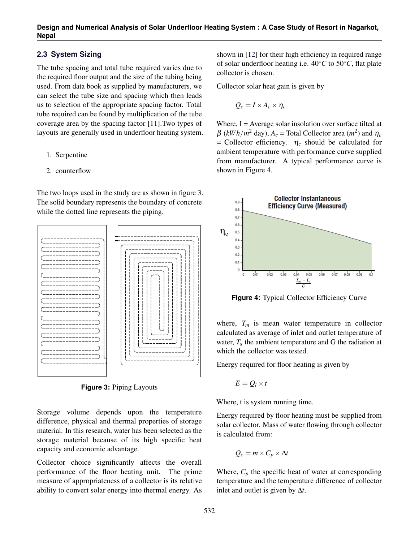# **2.3 System Sizing**

The tube spacing and total tube required varies due to the required floor output and the size of the tubing being used. From data book as supplied by manufacturers, we can select the tube size and spacing which then leads us to selection of the appropriate spacing factor. Total tube required can be found by multiplication of the tube coverage area by the spacing factor [\[11\]](#page-7-10).Two types of layouts are generally used in underfloor heating system.

- 1. Serpentine
- 2. counterflow

The two loops used in the study are as shown in figure 3. The solid boundary represents the boundary of concrete while the dotted line represents the piping.



**Figure 3:** Piping Layouts

Storage volume depends upon the temperature difference, physical and thermal properties of storage material. In this research, water has been selected as the storage material because of its high specific heat capacity and economic advantage.

Collector choice significantly affects the overall performance of the floor heating unit. The prime measure of appropriateness of a collector is its relative ability to convert solar energy into thermal energy. As shown in [\[12\]](#page-7-11) for their high efficiency in required range of solar underfloor heating i.e. 40◦*C* to 50◦*C*, flat plate collector is chosen.

Collector solar heat gain is given by

$$
Q_c = I \times A_c \times \eta_c
$$

Where,  $I = Average solar$  insolation over surface tilted at  $\beta$  (*kWh/m*<sup>2</sup> day),  $A_c$  = Total Collector area (*m*<sup>2</sup>) and  $\eta_c$  $=$  Collector efficiency.  $\eta_c$  should be calculated for ambient temperature with performance curve supplied from manufacturer. A typical performance curve is shown in Figure 4.



**Figure 4:** Typical Collector Efficiency Curve

where,  $T_m$  is mean water temperature in collector calculated as average of inlet and outlet temperature of water,  $T_a$  the ambient temperature and G the radiation at which the collector was tested.

Energy required for floor heating is given by

$$
E=Q_l\times t
$$

Where, t is system running time.

Energy required by floor heating must be supplied from solar collector. Mass of water flowing through collector is calculated from:

$$
Q_c = m \times C_p \times \Delta t
$$

Where,  $C_p$  the specific heat of water at corresponding temperature and the temperature difference of collector inlet and outlet is given by ∆*t*.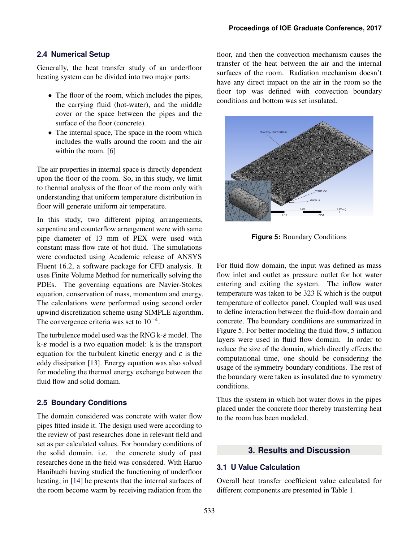# **2.4 Numerical Setup**

Generally, the heat transfer study of an underfloor heating system can be divided into two major parts:

- The floor of the room, which includes the pipes, the carrying fluid (hot-water), and the middle cover or the space between the pipes and the surface of the floor (concrete).
- The internal space, The space in the room which includes the walls around the room and the air within the room. [\[6\]](#page-7-5)

The air properties in internal space is directly dependent upon the floor of the room. So, in this study, we limit to thermal analysis of the floor of the room only with understanding that uniform temperature distribution in floor will generate uniform air temperature.

In this study, two different piping arrangements, serpentine and counterflow arrangement were with same pipe diameter of 13 mm of PEX were used with constant mass flow rate of hot fluid. The simulations were conducted using Academic release of ANSYS Fluent 16.2, a software package for CFD analysis. It uses Finite Volume Method for numerically solving the PDEs. The governing equations are Navier-Stokes equation, conservation of mass, momentum and energy. The calculations were performed using second order upwind discretization scheme using SIMPLE algorithm. The convergence criteria was set to  $10^{-4}$ .

The turbulence model used was the RNG k- $\varepsilon$  model. The  $k-\varepsilon$  model is a two equation model: k is the transport equation for the turbulent kinetic energy and  $\varepsilon$  is the eddy dissipation [\[13\]](#page-7-12). Energy equation was also solved for modeling the thermal energy exchange between the fluid flow and solid domain.

# **2.5 Boundary Conditions**

The domain considered was concrete with water flow pipes fitted inside it. The design used were according to the review of past researches done in relevant field and set as per calculated values. For boundary conditions of the solid domain, i.e. the concrete study of past researches done in the field was considered. With Haruo Hanibuchi having studied the functioning of underfloor heating, in [\[14\]](#page-7-13) he presents that the internal surfaces of the room become warm by receiving radiation from the

floor, and then the convection mechanism causes the transfer of the heat between the air and the internal surfaces of the room. Radiation mechanism doesn't have any direct impact on the air in the room so the floor top was defined with convection boundary conditions and bottom was set insulated.



**Figure 5:** Boundary Conditions

For fluid flow domain, the input was defined as mass flow inlet and outlet as pressure outlet for hot water entering and exiting the system. The inflow water temperature was taken to be 323 K which is the output temperature of collector panel. Coupled wall was used to define interaction between the fluid-flow domain and concrete. The boundary conditions are summarized in Figure 5. For better modeling the fluid flow, 5 inflation layers were used in fluid flow domain. In order to reduce the size of the domain, which directly effects the computational time, one should be considering the usage of the symmetry boundary conditions. The rest of the boundary were taken as insulated due to symmetry conditions.

Thus the system in which hot water flows in the pipes placed under the concrete floor thereby transferring heat to the room has been modeled.

# **3. Results and Discussion**

# **3.1 U Value Calculation**

Overall heat transfer coefficient value calculated for different components are presented in Table 1.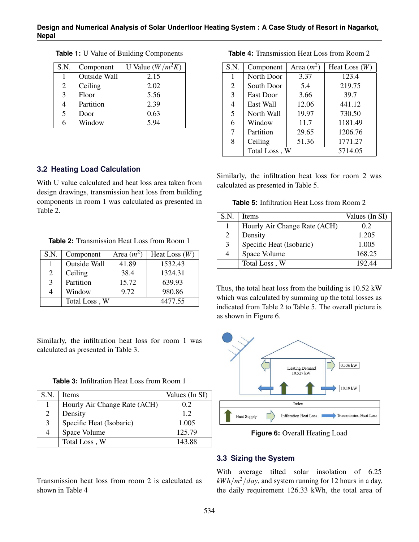| S.N. | Component    | U Value $(W/m^2K)$ |
|------|--------------|--------------------|
|      | Outside Wall | 2.15               |
| 2    | Ceiling      | 2.02               |
| 3    | Floor        | 5.56               |
| 4    | Partition    | 2.39               |
| 5    | Door         | 0.63               |
| 6    | Window       | 5.94               |

**Table 1:** U Value of Building Components

### **3.2 Heating Load Calculation**

With U value calculated and heat loss area taken from design drawings, transmission heat loss from building components in room 1 was calculated as presented in Table 2.

**Table 2:** Transmission Heat Loss from Room 1

| S.N. | Component           | Area $(m^2)$ | Heat Loss $(W)$ |
|------|---------------------|--------------|-----------------|
|      | <b>Outside Wall</b> | 41.89        | 1532.43         |
| 2    | Ceiling             | 38.4         | 1324.31         |
| 3    | Partition           | 15.72        | 639.93          |
| 4    | Window              | 9.72         | 980.86          |
|      | Total Loss, W       |              | 4477.55         |

Similarly, the infiltration heat loss for room 1 was calculated as presented in Table 3.

**Table 3:** Infiltration Heat Loss from Room 1

| S.N. | <b>Items</b>                 | Values (In SI) |
|------|------------------------------|----------------|
| 1    | Hourly Air Change Rate (ACH) | 0.2            |
| 2    | Density                      | 12             |
| 3    | Specific Heat (Isobaric)     | 1.005          |
| 4    | Space Volume                 | 125.79         |
|      | Total Loss, W                | 143.88         |

Transmission heat loss from room 2 is calculated as shown in Table 4

| S.N.           | Component     | Area $(m^2)$ | Heat Loss $(W)$ |
|----------------|---------------|--------------|-----------------|
| 1              | North Door    | 3.37         | 123.4           |
| 2              | South Door    | 5.4          | 219.75          |
| $\overline{3}$ | East Door     | 3.66         | 39.7            |
| $\overline{4}$ | East Wall     | 12.06        | 441.12          |
| 5              | North Wall    | 19.97        | 730.50          |
| 6              | Window        | 11.7         | 1181.49         |
| 7              | Partition     | 29.65        | 1206.76         |
| 8              | Ceiling       | 51.36        | 1771.27         |
|                | Total Loss, W |              | 5714.05         |

**Table 4:** Transmission Heat Loss from Room 2

Similarly, the infiltration heat loss for room 2 was calculated as presented in Table 5.

**Table 5:** Infiltration Heat Loss from Room 2

| S.N. | <b>Items</b>                 | Values (In SI) |
|------|------------------------------|----------------|
|      | Hourly Air Change Rate (ACH) | 0.2            |
| 2    | Density                      | 1.205          |
| 3    | Specific Heat (Isobaric)     | 1.005          |
| 4    | Space Volume                 | 168.25         |
|      | Total Loss, W                | 192.44         |

Thus, the total heat loss from the building is 10.52 kW which was calculated by summing up the total losses as indicated from Table 2 to Table 5. The overall picture is as shown in Figure 6.



**Figure 6:** Overall Heating Load

### **3.3 Sizing the System**

With average tilted solar insolation of 6.25  $kWh/m^2/day$ , and system running for 12 hours in a day, the daily requirement 126.33 kWh, the total area of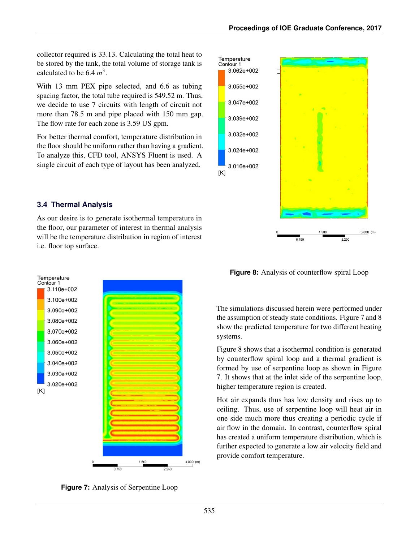collector required is 33.13. Calculating the total heat to be stored by the tank, the total volume of storage tank is calculated to be  $6.4 \, m^3$ .

With 13 mm PEX pipe selected, and 6.6 as tubing spacing factor, the total tube required is 549.52 m. Thus, we decide to use 7 circuits with length of circuit not more than 78.5 m and pipe placed with 150 mm gap. The flow rate for each zone is 3.59 US gpm.

For better thermal comfort, temperature distribution in the floor should be uniform rather than having a gradient. To analyze this, CFD tool, ANSYS Fluent is used. A single circuit of each type of layout has been analyzed.

# **3.4 Thermal Analysis**

As our desire is to generate isothermal temperature in the floor, our parameter of interest in thermal analysis will be the temperature distribution in region of interest i.e. floor top surface.



**Figure 7:** Analysis of Serpentine Loop



**Figure 8:** Analysis of counterflow spiral Loop

The simulations discussed herein were performed under the assumption of steady state conditions. Figure 7 and 8 show the predicted temperature for two different heating systems.

Figure 8 shows that a isothermal condition is generated by counterflow spiral loop and a thermal gradient is formed by use of serpentine loop as shown in Figure 7. It shows that at the inlet side of the serpentine loop, higher temperature region is created.

Hot air expands thus has low density and rises up to ceiling. Thus, use of serpentine loop will heat air in one side much more thus creating a periodic cycle if air flow in the domain. In contrast, counterflow spiral has created a uniform temperature distribution, which is further expected to generate a low air velocity field and provide comfort temperature.